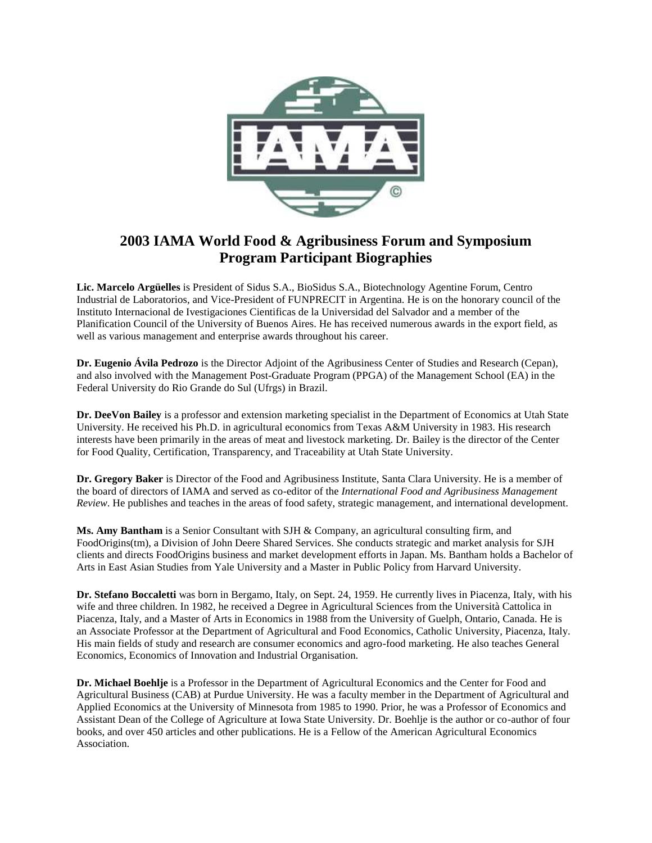

## **2003 IAMA World Food & Agribusiness Forum and Symposium Program Participant Biographies**

**Lic. Marcelo Argüelles** is President of Sidus S.A., BioSidus S.A., Biotechnology Agentine Forum, Centro Industrial de Laboratorios, and Vice-President of FUNPRECIT in Argentina. He is on the honorary council of the Instituto Internacional de Ivestigaciones Cientificas de la Universidad del Salvador and a member of the Planification Council of the University of Buenos Aires. He has received numerous awards in the export field, as well as various management and enterprise awards throughout his career.

**Dr. Eugenio Ávila Pedrozo** is the Director Adjoint of the Agribusiness Center of Studies and Research (Cepan), and also involved with the Management Post-Graduate Program (PPGA) of the Management School (EA) in the Federal University do Rio Grande do Sul (Ufrgs) in Brazil.

**Dr. DeeVon Bailey** is a professor and extension marketing specialist in the Department of Economics at Utah State University. He received his Ph.D. in agricultural economics from Texas A&M University in 1983. His research interests have been primarily in the areas of meat and livestock marketing. Dr. Bailey is the director of the Center for Food Quality, Certification, Transparency, and Traceability at Utah State University.

**Dr. Gregory Baker** is Director of the Food and Agribusiness Institute, Santa Clara University. He is a member of the board of directors of IAMA and served as co-editor of the *International Food and Agribusiness Management Review*. He publishes and teaches in the areas of food safety, strategic management, and international development.

**Ms. Amy Bantham** is a Senior Consultant with SJH & Company, an agricultural consulting firm, and FoodOrigins(tm), a Division of John Deere Shared Services. She conducts strategic and market analysis for SJH clients and directs FoodOrigins business and market development efforts in Japan. Ms. Bantham holds a Bachelor of Arts in East Asian Studies from Yale University and a Master in Public Policy from Harvard University.

**Dr. Stefano Boccaletti** was born in Bergamo, Italy, on Sept. 24, 1959. He currently lives in Piacenza, Italy, with his wife and three children. In 1982, he received a Degree in Agricultural Sciences from the Università Cattolica in Piacenza, Italy, and a Master of Arts in Economics in 1988 from the University of Guelph, Ontario, Canada. He is an Associate Professor at the Department of Agricultural and Food Economics, Catholic University, Piacenza, Italy. His main fields of study and research are consumer economics and agro-food marketing. He also teaches General Economics, Economics of Innovation and Industrial Organisation.

**Dr. Michael Boehlje** is a Professor in the Department of Agricultural Economics and the Center for Food and Agricultural Business (CAB) at Purdue University. He was a faculty member in the Department of Agricultural and Applied Economics at the University of Minnesota from 1985 to 1990. Prior, he was a Professor of Economics and Assistant Dean of the College of Agriculture at Iowa State University. Dr. Boehlje is the author or co-author of four books, and over 450 articles and other publications. He is a Fellow of the American Agricultural Economics Association.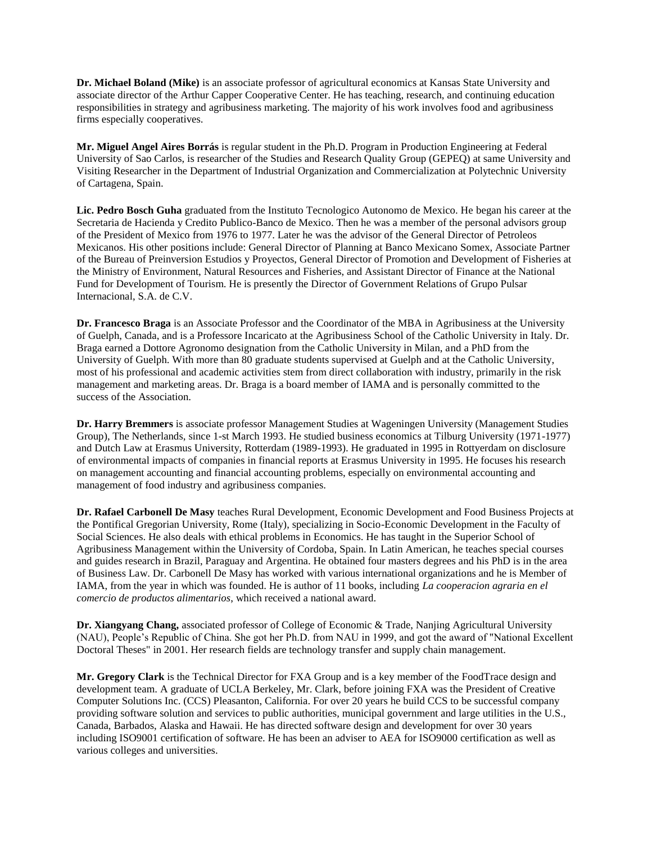**Dr. Michael Boland (Mike)** is an associate professor of agricultural economics at Kansas State University and associate director of the Arthur Capper Cooperative Center. He has teaching, research, and continuing education responsibilities in strategy and agribusiness marketing. The majority of his work involves food and agribusiness firms especially cooperatives.

**Mr. Miguel Angel Aires Borrás** is regular student in the Ph.D. Program in Production Engineering at Federal University of Sao Carlos, is researcher of the Studies and Research Quality Group (GEPEQ) at same University and Visiting Researcher in the Department of Industrial Organization and Commercialization at Polytechnic University of Cartagena, Spain.

**Lic. Pedro Bosch Guha** graduated from the Instituto Tecnologico Autonomo de Mexico. He began his career at the Secretaria de Hacienda y Credito Publico-Banco de Mexico. Then he was a member of the personal advisors group of the President of Mexico from 1976 to 1977. Later he was the advisor of the General Director of Petroleos Mexicanos. His other positions include: General Director of Planning at Banco Mexicano Somex, Associate Partner of the Bureau of Preinversion Estudios y Proyectos, General Director of Promotion and Development of Fisheries at the Ministry of Environment, Natural Resources and Fisheries, and Assistant Director of Finance at the National Fund for Development of Tourism. He is presently the Director of Government Relations of Grupo Pulsar Internacional, S.A. de C.V.

**Dr. Francesco Braga** is an Associate Professor and the Coordinator of the MBA in Agribusiness at the University of Guelph, Canada, and is a Professore Incaricato at the Agribusiness School of the Catholic University in Italy. Dr. Braga earned a Dottore Agronomo designation from the Catholic University in Milan, and a PhD from the University of Guelph. With more than 80 graduate students supervised at Guelph and at the Catholic University, most of his professional and academic activities stem from direct collaboration with industry, primarily in the risk management and marketing areas. Dr. Braga is a board member of IAMA and is personally committed to the success of the Association.

**Dr. Harry Bremmers** is associate professor Management Studies at Wageningen University (Management Studies Group), The Netherlands, since 1-st March 1993. He studied business economics at Tilburg University (1971-1977) and Dutch Law at Erasmus University, Rotterdam (1989-1993). He graduated in 1995 in Rottyerdam on disclosure of environmental impacts of companies in financial reports at Erasmus University in 1995. He focuses his research on management accounting and financial accounting problems, especially on environmental accounting and management of food industry and agribusiness companies.

**Dr. Rafael Carbonell De Masy** teaches Rural Development, Economic Development and Food Business Projects at the Pontifical Gregorian University, Rome (Italy), specializing in Socio-Economic Development in the Faculty of Social Sciences. He also deals with ethical problems in Economics. He has taught in the Superior School of Agribusiness Management within the University of Cordoba, Spain. In Latin American, he teaches special courses and guides research in Brazil, Paraguay and Argentina. He obtained four masters degrees and his PhD is in the area of Business Law. Dr. Carbonell De Masy has worked with various international organizations and he is Member of IAMA, from the year in which was founded. He is author of 11 books, including *La cooperacion agraria en el comercio de productos alimentarios*, which received a national award.

**Dr. Xiangyang Chang,** associated professor of College of Economic & Trade, Nanjing Agricultural University (NAU), People's Republic of China. She got her Ph.D. from NAU in 1999, and got the award of "National Excellent Doctoral Theses" in 2001. Her research fields are technology transfer and supply chain management.

**Mr. Gregory Clark** is the Technical Director for FXA Group and is a key member of the FoodTrace design and development team. A graduate of UCLA Berkeley, Mr. Clark, before joining FXA was the President of Creative Computer Solutions Inc. (CCS) Pleasanton, California. For over 20 years he build CCS to be successful company providing software solution and services to public authorities, municipal government and large utilities in the U.S., Canada, Barbados, Alaska and Hawaii. He has directed software design and development for over 30 years including ISO9001 certification of software. He has been an adviser to AEA for ISO9000 certification as well as various colleges and universities.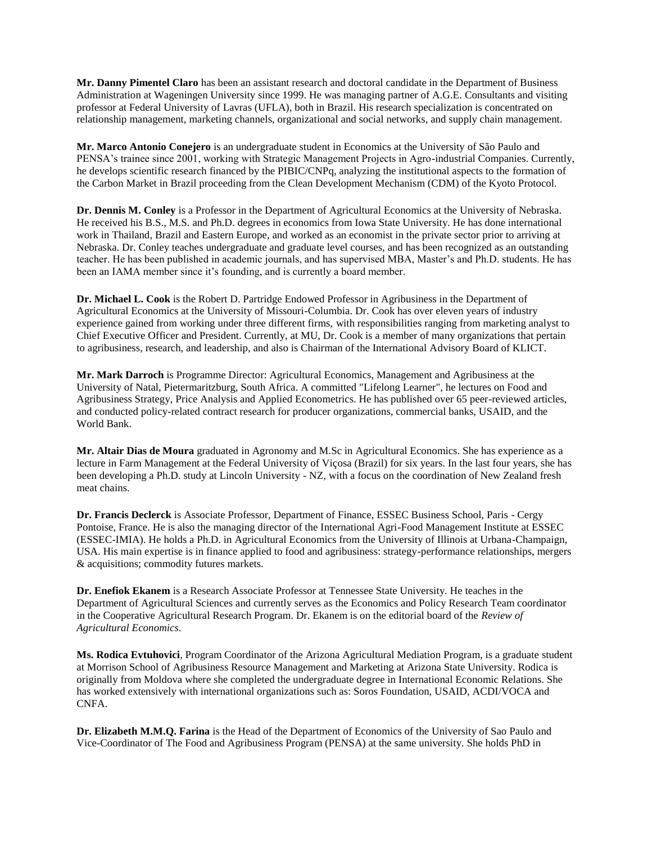**Mr. Danny Pimentel Claro** has been an assistant research and doctoral candidate in the Department of Business Administration at Wageningen University since 1999. He was managing partner of A.G.E. Consultants and visiting professor at Federal University of Lavras (UFLA), both in Brazil. His research specialization is concentrated on relationship management, marketing channels, organizational and social networks, and supply chain management.

**Mr. Marco Antonio Conejero** is an undergraduate student in Economics at the University of São Paulo and PENSA's trainee since 2001, working with Strategic Management Projects in Agro-industrial Companies. Currently, he develops scientific research financed by the PIBIC/CNPq, analyzing the institutional aspects to the formation of the Carbon Market in Brazil proceeding from the Clean Development Mechanism (CDM) of the Kyoto Protocol.

**Dr. Dennis M. Conley** is a Professor in the Department of Agricultural Economics at the University of Nebraska. He received his B.S., M.S. and Ph.D. degrees in economics from Iowa State University. He has done international work in Thailand, Brazil and Eastern Europe, and worked as an economist in the private sector prior to arriving at Nebraska. Dr. Conley teaches undergraduate and graduate level courses, and has been recognized as an outstanding teacher. He has been published in academic journals, and has supervised MBA, Master's and Ph.D. students. He has been an IAMA member since it's founding, and is currently a board member.

**Dr. Michael L. Cook** is the Robert D. Partridge Endowed Professor in Agribusiness in the Department of Agricultural Economics at the University of Missouri-Columbia. Dr. Cook has over eleven years of industry experience gained from working under three different firms, with responsibilities ranging from marketing analyst to Chief Executive Officer and President. Currently, at MU, Dr. Cook is a member of many organizations that pertain to agribusiness, research, and leadership, and also is Chairman of the International Advisory Board of KLICT.

**Mr. Mark Darroch** is Programme Director: Agricultural Economics, Management and Agribusiness at the University of Natal, Pietermaritzburg, South Africa. A committed "Lifelong Learner", he lectures on Food and Agribusiness Strategy, Price Analysis and Applied Econometrics. He has published over 65 peer-reviewed articles, and conducted policy-related contract research for producer organizations, commercial banks, USAID, and the World Bank.

**Mr. Altair Dias de Moura** graduated in Agronomy and M.Sc in Agricultural Economics. She has experience as a lecture in Farm Management at the Federal University of Viçosa (Brazil) for six years. In the last four years, she has been developing a Ph.D. study at Lincoln University - NZ, with a focus on the coordination of New Zealand fresh meat chains.

**Dr. Francis Declerck** is Associate Professor, Department of Finance, ESSEC Business School, Paris - Cergy Pontoise, France. He is also the managing director of the International Agri-Food Management Institute at ESSEC (ESSEC-IMIA). He holds a Ph.D. in Agricultural Economics from the University of Illinois at Urbana-Champaign, USA. His main expertise is in finance applied to food and agribusiness: strategy-performance relationships, mergers & acquisitions; commodity futures markets.

**Dr. Enefiok Ekanem** is a Research Associate Professor at Tennessee State University. He teaches in the Department of Agricultural Sciences and currently serves as the Economics and Policy Research Team coordinator in the Cooperative Agricultural Research Program. Dr. Ekanem is on the editorial board of the *Review of Agricultural Economics*.

**Ms. Rodica Evtuhovici**, Program Coordinator of the Arizona Agricultural Mediation Program, is a graduate student at Morrison School of Agribusiness Resource Management and Marketing at Arizona State University. Rodica is originally from Moldova where she completed the undergraduate degree in International Economic Relations. She has worked extensively with international organizations such as: Soros Foundation, USAID, ACDI/VOCA and CNFA.

**Dr. Elizabeth M.M.Q. Farina** is the Head of the Department of Economics of the University of Sao Paulo and Vice-Coordinator of The Food and Agribusiness Program (PENSA) at the same university. She holds PhD in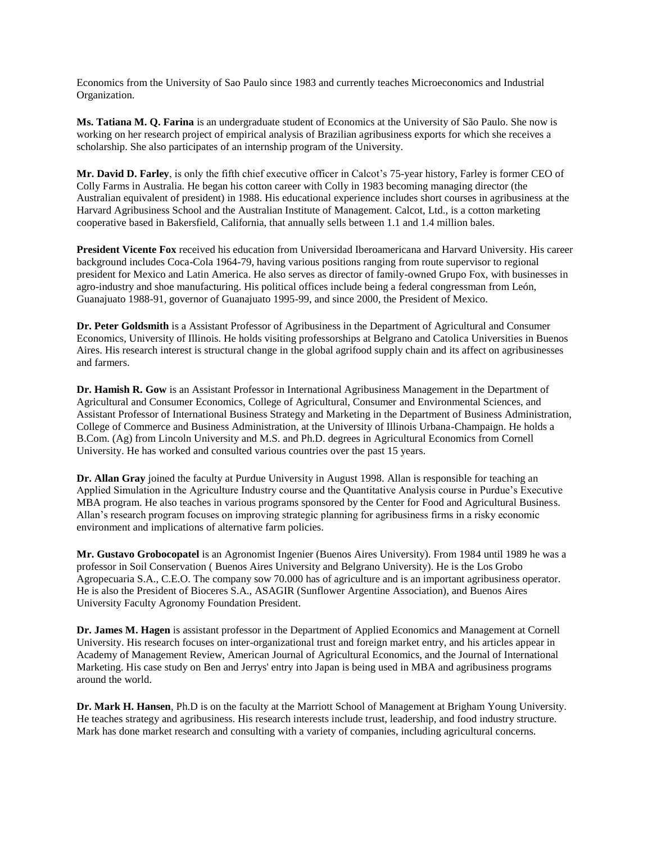Economics from the University of Sao Paulo since 1983 and currently teaches Microeconomics and Industrial Organization.

**Ms. Tatiana M. Q. Farina** is an undergraduate student of Economics at the University of São Paulo. She now is working on her research project of empirical analysis of Brazilian agribusiness exports for which she receives a scholarship. She also participates of an internship program of the University.

**Mr. David D. Farley**, is only the fifth chief executive officer in Calcot's 75-year history, Farley is former CEO of Colly Farms in Australia. He began his cotton career with Colly in 1983 becoming managing director (the Australian equivalent of president) in 1988. His educational experience includes short courses in agribusiness at the Harvard Agribusiness School and the Australian Institute of Management. Calcot, Ltd., is a cotton marketing cooperative based in Bakersfield, California, that annually sells between 1.1 and 1.4 million bales.

**President Vicente Fox** received his education from Universidad Iberoamericana and Harvard University. His career background includes Coca-Cola 1964-79, having various positions ranging from route supervisor to regional president for Mexico and Latin America. He also serves as director of family-owned Grupo Fox, with businesses in agro-industry and shoe manufacturing. His political offices include being a federal congressman from León, Guanajuato 1988-91, governor of Guanajuato 1995-99, and since 2000, the President of Mexico.

**Dr. Peter Goldsmith** is a Assistant Professor of Agribusiness in the Department of Agricultural and Consumer Economics, University of Illinois. He holds visiting professorships at Belgrano and Catolica Universities in Buenos Aires. His research interest is structural change in the global agrifood supply chain and its affect on agribusinesses and farmers.

**Dr. Hamish R. Gow** is an Assistant Professor in International Agribusiness Management in the Department of Agricultural and Consumer Economics, College of Agricultural, Consumer and Environmental Sciences, and Assistant Professor of International Business Strategy and Marketing in the Department of Business Administration, College of Commerce and Business Administration, at the University of Illinois Urbana-Champaign. He holds a B.Com. (Ag) from Lincoln University and M.S. and Ph.D. degrees in Agricultural Economics from Cornell University. He has worked and consulted various countries over the past 15 years.

**Dr. Allan Gray** joined the faculty at Purdue University in August 1998. Allan is responsible for teaching an Applied Simulation in the Agriculture Industry course and the Quantitative Analysis course in Purdue's Executive MBA program. He also teaches in various programs sponsored by the Center for Food and Agricultural Business. Allan's research program focuses on improving strategic planning for agribusiness firms in a risky economic environment and implications of alternative farm policies.

**Mr. Gustavo Grobocopatel** is an Agronomist Ingenier (Buenos Aires University). From 1984 until 1989 he was a professor in Soil Conservation ( Buenos Aires University and Belgrano University). He is the Los Grobo Agropecuaria S.A., C.E.O. The company sow 70.000 has of agriculture and is an important agribusiness operator. He is also the President of Bioceres S.A., ASAGIR (Sunflower Argentine Association), and Buenos Aires University Faculty Agronomy Foundation President.

**Dr. James M. Hagen** is assistant professor in the Department of Applied Economics and Management at Cornell University. His research focuses on inter-organizational trust and foreign market entry, and his articles appear in Academy of Management Review, American Journal of Agricultural Economics, and the Journal of International Marketing. His case study on Ben and Jerrys' entry into Japan is being used in MBA and agribusiness programs around the world.

**Dr. Mark H. Hansen**, Ph.D is on the faculty at the Marriott School of Management at Brigham Young University. He teaches strategy and agribusiness. His research interests include trust, leadership, and food industry structure. Mark has done market research and consulting with a variety of companies, including agricultural concerns.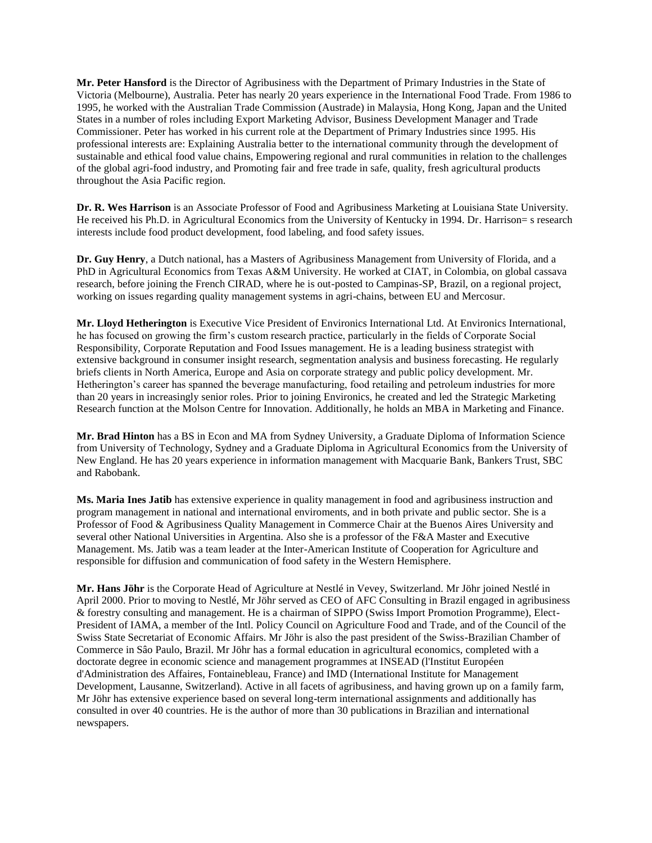**Mr. Peter Hansford** is the Director of Agribusiness with the Department of Primary Industries in the State of Victoria (Melbourne), Australia. Peter has nearly 20 years experience in the International Food Trade. From 1986 to 1995, he worked with the Australian Trade Commission (Austrade) in Malaysia, Hong Kong, Japan and the United States in a number of roles including Export Marketing Advisor, Business Development Manager and Trade Commissioner. Peter has worked in his current role at the Department of Primary Industries since 1995. His professional interests are: Explaining Australia better to the international community through the development of sustainable and ethical food value chains, Empowering regional and rural communities in relation to the challenges of the global agri-food industry, and Promoting fair and free trade in safe, quality, fresh agricultural products throughout the Asia Pacific region.

**Dr. R. Wes Harrison** is an Associate Professor of Food and Agribusiness Marketing at Louisiana State University. He received his Ph.D. in Agricultural Economics from the University of Kentucky in 1994. Dr. Harrison= s research interests include food product development, food labeling, and food safety issues.

**Dr. Guy Henry**, a Dutch national, has a Masters of Agribusiness Management from University of Florida, and a PhD in Agricultural Economics from Texas A&M University. He worked at CIAT, in Colombia, on global cassava research, before joining the French CIRAD, where he is out-posted to Campinas-SP, Brazil, on a regional project, working on issues regarding quality management systems in agri-chains, between EU and Mercosur.

**Mr. Lloyd Hetherington** is Executive Vice President of Environics International Ltd. At Environics International, he has focused on growing the firm's custom research practice, particularly in the fields of Corporate Social Responsibility, Corporate Reputation and Food Issues management. He is a leading business strategist with extensive background in consumer insight research, segmentation analysis and business forecasting. He regularly briefs clients in North America, Europe and Asia on corporate strategy and public policy development. Mr. Hetherington's career has spanned the beverage manufacturing, food retailing and petroleum industries for more than 20 years in increasingly senior roles. Prior to joining Environics, he created and led the Strategic Marketing Research function at the Molson Centre for Innovation. Additionally, he holds an MBA in Marketing and Finance.

**Mr. Brad Hinton** has a BS in Econ and MA from Sydney University, a Graduate Diploma of Information Science from University of Technology, Sydney and a Graduate Diploma in Agricultural Economics from the University of New England. He has 20 years experience in information management with Macquarie Bank, Bankers Trust, SBC and Rabobank.

**Ms. Maria Ines Jatib** has extensive experience in quality management in food and agribusiness instruction and program management in national and international enviroments, and in both private and public sector. She is a Professor of Food & Agribusiness Quality Management in Commerce Chair at the Buenos Aires University and several other National Universities in Argentina. Also she is a professor of the F&A Master and Executive Management. Ms. Jatib was a team leader at the Inter-American Institute of Cooperation for Agriculture and responsible for diffusion and communication of food safety in the Western Hemisphere.

**Mr. Hans Jöhr** is the Corporate Head of Agriculture at Nestlé in Vevey, Switzerland. Mr Jöhr joined Nestlé in April 2000. Prior to moving to Nestlé, Mr Jöhr served as CEO of AFC Consulting in Brazil engaged in agribusiness & forestry consulting and management. He is a chairman of SIPPO (Swiss Import Promotion Programme), Elect-President of IAMA, a member of the Intl. Policy Council on Agriculture Food and Trade, and of the Council of the Swiss State Secretariat of Economic Affairs. Mr Jöhr is also the past president of the Swiss-Brazilian Chamber of Commerce in Sâo Paulo, Brazil. Mr Jöhr has a formal education in agricultural economics, completed with a doctorate degree in economic science and management programmes at INSEAD (l'Institut Européen d'Administration des Affaires, Fontainebleau, France) and IMD (International Institute for Management Development, Lausanne, Switzerland). Active in all facets of agribusiness, and having grown up on a family farm, Mr Jöhr has extensive experience based on several long-term international assignments and additionally has consulted in over 40 countries. He is the author of more than 30 publications in Brazilian and international newspapers.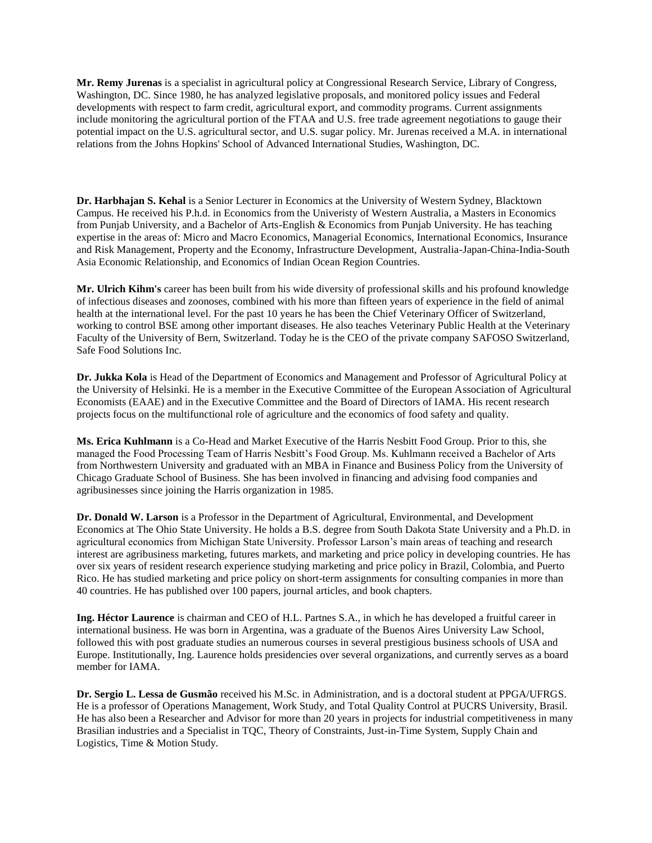**Mr. Remy Jurenas** is a specialist in agricultural policy at Congressional Research Service, Library of Congress, Washington, DC. Since 1980, he has analyzed legislative proposals, and monitored policy issues and Federal developments with respect to farm credit, agricultural export, and commodity programs. Current assignments include monitoring the agricultural portion of the FTAA and U.S. free trade agreement negotiations to gauge their potential impact on the U.S. agricultural sector, and U.S. sugar policy. Mr. Jurenas received a M.A. in international relations from the Johns Hopkins' School of Advanced International Studies, Washington, DC.

**Dr. Harbhajan S. Kehal** is a Senior Lecturer in Economics at the University of Western Sydney, Blacktown Campus. He received his P.h.d. in Economics from the Univeristy of Western Australia, a Masters in Economics from Punjab University, and a Bachelor of Arts-English & Economics from Punjab University. He has teaching expertise in the areas of: Micro and Macro Economics, Managerial Economics, International Economics, Insurance and Risk Management, Property and the Economy, Infrastructure Development, Australia-Japan-China-India-South Asia Economic Relationship, and Economics of Indian Ocean Region Countries.

**Mr. Ulrich Kihm's** career has been built from his wide diversity of professional skills and his profound knowledge of infectious diseases and zoonoses, combined with his more than fifteen years of experience in the field of animal health at the international level. For the past 10 years he has been the Chief Veterinary Officer of Switzerland, working to control BSE among other important diseases. He also teaches Veterinary Public Health at the Veterinary Faculty of the University of Bern, Switzerland. Today he is the CEO of the private company SAFOSO Switzerland, Safe Food Solutions Inc.

**Dr. Jukka Kola** is Head of the Department of Economics and Management and Professor of Agricultural Policy at the University of Helsinki. He is a member in the Executive Committee of the European Association of Agricultural Economists (EAAE) and in the Executive Committee and the Board of Directors of IAMA. His recent research projects focus on the multifunctional role of agriculture and the economics of food safety and quality.

**Ms. Erica Kuhlmann** is a Co-Head and Market Executive of the Harris Nesbitt Food Group. Prior to this, she managed the Food Processing Team of Harris Nesbitt's Food Group. Ms. Kuhlmann received a Bachelor of Arts from Northwestern University and graduated with an MBA in Finance and Business Policy from the University of Chicago Graduate School of Business. She has been involved in financing and advising food companies and agribusinesses since joining the Harris organization in 1985.

**Dr. Donald W. Larson** is a Professor in the Department of Agricultural, Environmental, and Development Economics at The Ohio State University. He holds a B.S. degree from South Dakota State University and a Ph.D. in agricultural economics from Michigan State University. Professor Larson's main areas of teaching and research interest are agribusiness marketing, futures markets, and marketing and price policy in developing countries. He has over six years of resident research experience studying marketing and price policy in Brazil, Colombia, and Puerto Rico. He has studied marketing and price policy on short-term assignments for consulting companies in more than 40 countries. He has published over 100 papers, journal articles, and book chapters.

**Ing. Héctor Laurence** is chairman and CEO of H.L. Partnes S.A., in which he has developed a fruitful career in international business. He was born in Argentina, was a graduate of the Buenos Aires University Law School, followed this with post graduate studies an numerous courses in several prestigious business schools of USA and Europe. Institutionally, Ing. Laurence holds presidencies over several organizations, and currently serves as a board member for IAMA.

**Dr. Sergio L. Lessa de Gusmão** received his M.Sc. in Administration, and is a doctoral student at PPGA/UFRGS. He is a professor of Operations Management, Work Study, and Total Quality Control at PUCRS University, Brasil. He has also been a Researcher and Advisor for more than 20 years in projects for industrial competitiveness in many Brasilian industries and a Specialist in TQC, Theory of Constraints, Just-in-Time System, Supply Chain and Logistics, Time & Motion Study.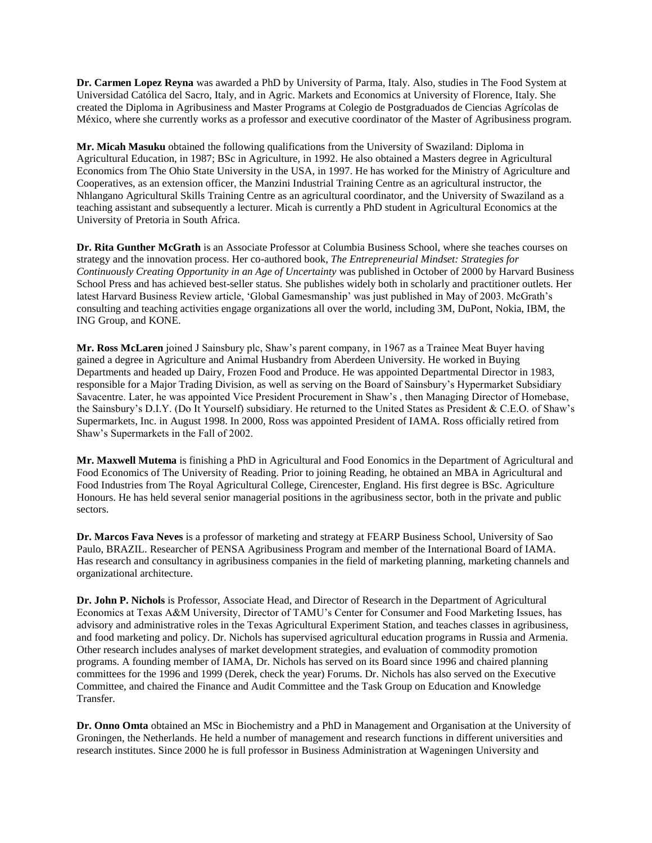**Dr. Carmen Lopez Reyna** was awarded a PhD by University of Parma, Italy. Also, studies in The Food System at Universidad Católica del Sacro, Italy, and in Agric. Markets and Economics at University of Florence, Italy. She created the Diploma in Agribusiness and Master Programs at Colegio de Postgraduados de Ciencias Agrícolas de México, where she currently works as a professor and executive coordinator of the Master of Agribusiness program.

**Mr. Micah Masuku** obtained the following qualifications from the University of Swaziland: Diploma in Agricultural Education, in 1987; BSc in Agriculture, in 1992. He also obtained a Masters degree in Agricultural Economics from The Ohio State University in the USA, in 1997. He has worked for the Ministry of Agriculture and Cooperatives, as an extension officer, the Manzini Industrial Training Centre as an agricultural instructor, the Nhlangano Agricultural Skills Training Centre as an agricultural coordinator, and the University of Swaziland as a teaching assistant and subsequently a lecturer. Micah is currently a PhD student in Agricultural Economics at the University of Pretoria in South Africa.

**Dr. Rita Gunther McGrath** is an Associate Professor at Columbia Business School, where she teaches courses on strategy and the innovation process. Her co-authored book, *The Entrepreneurial Mindset: Strategies for Continuously Creating Opportunity in an Age of Uncertainty* was published in October of 2000 by Harvard Business School Press and has achieved best-seller status. She publishes widely both in scholarly and practitioner outlets. Her latest Harvard Business Review article, 'Global Gamesmanship' was just published in May of 2003. McGrath's consulting and teaching activities engage organizations all over the world, including 3M, DuPont, Nokia, IBM, the ING Group, and KONE.

**Mr. Ross McLaren** joined J Sainsbury plc, Shaw's parent company, in 1967 as a Trainee Meat Buyer having gained a degree in Agriculture and Animal Husbandry from Aberdeen University. He worked in Buying Departments and headed up Dairy, Frozen Food and Produce. He was appointed Departmental Director in 1983, responsible for a Major Trading Division, as well as serving on the Board of Sainsbury's Hypermarket Subsidiary Savacentre. Later, he was appointed Vice President Procurement in Shaw's , then Managing Director of Homebase, the Sainsbury's D.I.Y. (Do It Yourself) subsidiary. He returned to the United States as President & C.E.O. of Shaw's Supermarkets, Inc. in August 1998. In 2000, Ross was appointed President of IAMA. Ross officially retired from Shaw's Supermarkets in the Fall of 2002.

**Mr. Maxwell Mutema** is finishing a PhD in Agricultural and Food Eonomics in the Department of Agricultural and Food Economics of The University of Reading. Prior to joining Reading, he obtained an MBA in Agricultural and Food Industries from The Royal Agricultural College, Cirencester, England. His first degree is BSc. Agriculture Honours. He has held several senior managerial positions in the agribusiness sector, both in the private and public sectors.

**Dr. Marcos Fava Neves** is a professor of marketing and strategy at FEARP Business School, University of Sao Paulo, BRAZIL. Researcher of PENSA Agribusiness Program and member of the International Board of IAMA. Has research and consultancy in agribusiness companies in the field of marketing planning, marketing channels and organizational architecture.

**Dr. John P. Nichols** is Professor, Associate Head, and Director of Research in the Department of Agricultural Economics at Texas A&M University, Director of TAMU's Center for Consumer and Food Marketing Issues, has advisory and administrative roles in the Texas Agricultural Experiment Station, and teaches classes in agribusiness, and food marketing and policy. Dr. Nichols has supervised agricultural education programs in Russia and Armenia. Other research includes analyses of market development strategies, and evaluation of commodity promotion programs. A founding member of IAMA, Dr. Nichols has served on its Board since 1996 and chaired planning committees for the 1996 and 1999 (Derek, check the year) Forums. Dr. Nichols has also served on the Executive Committee, and chaired the Finance and Audit Committee and the Task Group on Education and Knowledge Transfer.

**Dr. Onno Omta** obtained an MSc in Biochemistry and a PhD in Management and Organisation at the University of Groningen, the Netherlands. He held a number of management and research functions in different universities and research institutes. Since 2000 he is full professor in Business Administration at Wageningen University and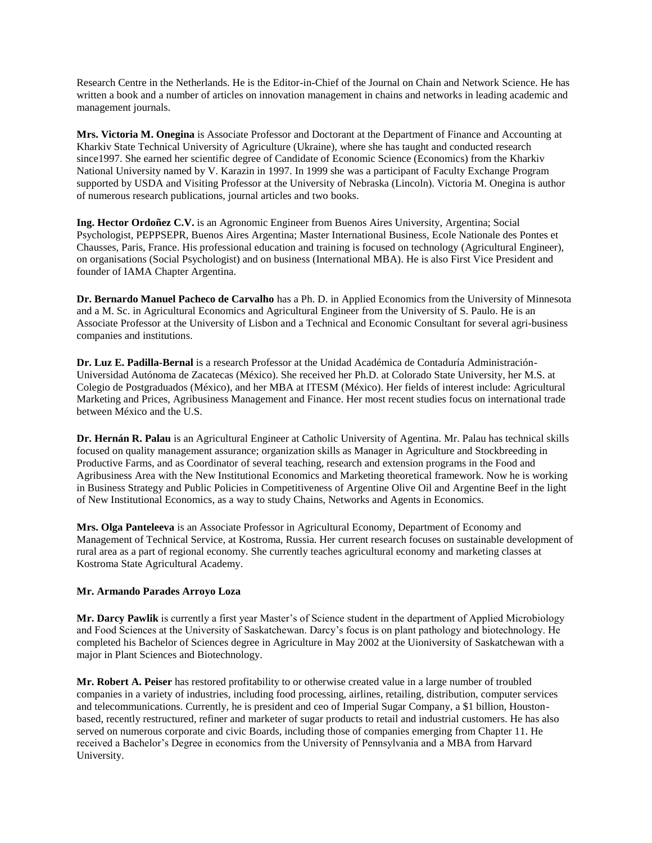Research Centre in the Netherlands. He is the Editor-in-Chief of the Journal on Chain and Network Science. He has written a book and a number of articles on innovation management in chains and networks in leading academic and management journals.

**Mrs. Victoria M. Onegina** is Associate Professor and Doctorant at the Department of Finance and Accounting at Kharkiv State Technical University of Agriculture (Ukraine), where she has taught and conducted research since1997. She earned her scientific degree of Candidate of Economic Science (Economics) from the Kharkiv National University named by V. Karazin in 1997. In 1999 she was a participant of Faculty Exchange Program supported by USDA and Visiting Professor at the University of Nebraska (Lincoln). Victoria M. Onegina is author of numerous research publications, journal articles and two books.

**Ing. Hector Ordoñez C.V.** is an Agronomic Engineer from Buenos Aires University, Argentina; Social Psychologist, PEPPSEPR, Buenos Aires Argentina; Master International Business, Ecole Nationale des Pontes et Chausses, Paris, France. His professional education and training is focused on technology (Agricultural Engineer), on organisations (Social Psychologist) and on business (International MBA). He is also First Vice President and founder of IAMA Chapter Argentina.

**Dr. Bernardo Manuel Pacheco de Carvalho** has a Ph. D. in Applied Economics from the University of Minnesota and a M. Sc. in Agricultural Economics and Agricultural Engineer from the University of S. Paulo. He is an Associate Professor at the University of Lisbon and a Technical and Economic Consultant for several agri-business companies and institutions.

**Dr. Luz E. Padilla-Bernal** is a research Professor at the Unidad Académica de Contaduría Administración-Universidad Autónoma de Zacatecas (México). She received her Ph.D. at Colorado State University, her M.S. at Colegio de Postgraduados (México), and her MBA at ITESM (México). Her fields of interest include: Agricultural Marketing and Prices, Agribusiness Management and Finance. Her most recent studies focus on international trade between México and the U.S.

**Dr. Hernán R. Palau** is an Agricultural Engineer at Catholic University of Agentina. Mr. Palau has technical skills focused on quality management assurance; organization skills as Manager in Agriculture and Stockbreeding in Productive Farms, and as Coordinator of several teaching, research and extension programs in the Food and Agribusiness Area with the New Institutional Economics and Marketing theoretical framework. Now he is working in Business Strategy and Public Policies in Competitiveness of Argentine Olive Oil and Argentine Beef in the light of New Institutional Economics, as a way to study Chains, Networks and Agents in Economics.

**Mrs. Olga Panteleeva** is an Associate Professor in Agricultural Economy, Department of Economy and Management of Technical Service, at Kostroma, Russia. Her current research focuses on sustainable development of rural area as a part of regional economy. She currently teaches agricultural economy and marketing classes at Kostroma State Agricultural Academy.

## **Mr. Armando Parades Arroyo Loza**

**Mr. Darcy Pawlik** is currently a first year Master's of Science student in the department of Applied Microbiology and Food Sciences at the University of Saskatchewan. Darcy's focus is on plant pathology and biotechnology. He completed his Bachelor of Sciences degree in Agriculture in May 2002 at the Uioniversity of Saskatchewan with a major in Plant Sciences and Biotechnology.

**Mr. Robert A. Peiser** has restored profitability to or otherwise created value in a large number of troubled companies in a variety of industries, including food processing, airlines, retailing, distribution, computer services and telecommunications. Currently, he is president and ceo of Imperial Sugar Company, a \$1 billion, Houstonbased, recently restructured, refiner and marketer of sugar products to retail and industrial customers. He has also served on numerous corporate and civic Boards, including those of companies emerging from Chapter 11. He received a Bachelor's Degree in economics from the University of Pennsylvania and a MBA from Harvard University.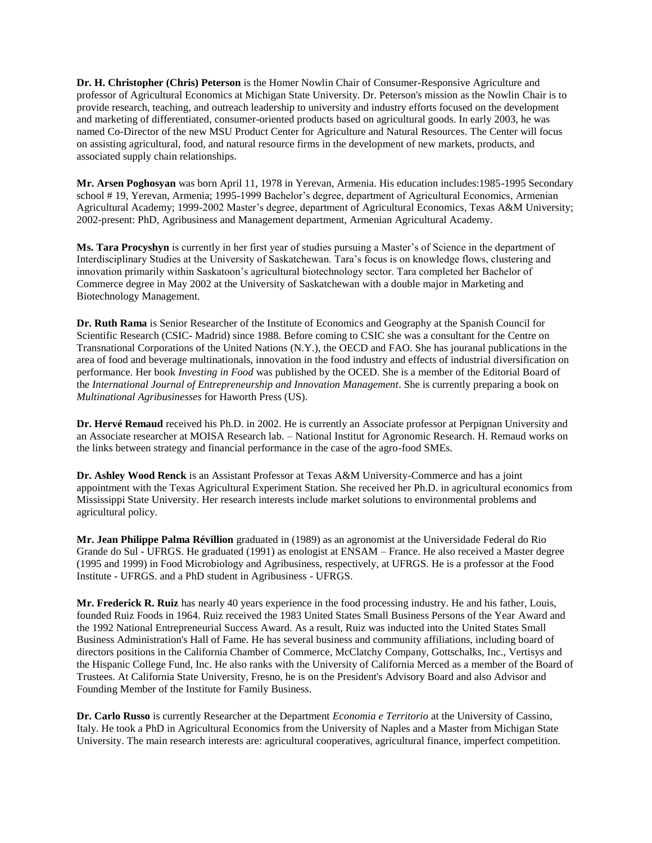**Dr. H. Christopher (Chris) Peterson** is the Homer Nowlin Chair of Consumer-Responsive Agriculture and professor of Agricultural Economics at Michigan State University. Dr. Peterson's mission as the Nowlin Chair is to provide research, teaching, and outreach leadership to university and industry efforts focused on the development and marketing of differentiated, consumer-oriented products based on agricultural goods. In early 2003, he was named Co-Director of the new MSU Product Center for Agriculture and Natural Resources. The Center will focus on assisting agricultural, food, and natural resource firms in the development of new markets, products, and associated supply chain relationships.

**Mr. Arsen Poghosyan** was born April 11, 1978 in Yerevan, Armenia. His education includes:1985-1995 Secondary school # 19, Yerevan, Armenia; 1995-1999 Bachelor's degree, department of Agricultural Economics, Armenian Agricultural Academy; 1999-2002 Master's degree, department of Agricultural Economics, Texas A&M University; 2002-present: PhD, Agribusiness and Management department, Armenian Agricultural Academy.

**Ms. Tara Procyshyn** is currently in her first year of studies pursuing a Master's of Science in the department of Interdisciplinary Studies at the University of Saskatchewan. Tara's focus is on knowledge flows, clustering and innovation primarily within Saskatoon's agricultural biotechnology sector. Tara completed her Bachelor of Commerce degree in May 2002 at the University of Saskatchewan with a double major in Marketing and Biotechnology Management.

**Dr. Ruth Rama** is Senior Researcher of the Institute of Economics and Geography at the Spanish Council for Scientific Research (CSIC- Madrid) since 1988. Before coming to CSIC she was a consultant for the Centre on Transnational Corporations of the United Nations (N.Y.), the OECD and FAO. She has jouranal publications in the area of food and beverage multinationals, innovation in the food industry and effects of industrial diversification on performance. Her book *Investing in Food* was published by the OCED. She is a member of the Editorial Board of the *International Journal of Entrepreneurship and Innovation Management*. She is currently preparing a book on *Multinational Agribusinesses* for Haworth Press (US).

**Dr. Hervé Remaud** received his Ph.D. in 2002. He is currently an Associate professor at Perpignan University and an Associate researcher at MOISA Research lab. – National Institut for Agronomic Research. H. Remaud works on the links between strategy and financial performance in the case of the agro-food SMEs.

**Dr. Ashley Wood Renck** is an Assistant Professor at Texas A&M University-Commerce and has a joint appointment with the Texas Agricultural Experiment Station. She received her Ph.D. in agricultural economics from Mississippi State University. Her research interests include market solutions to environmental problems and agricultural policy.

**Mr. Jean Philippe Palma Révillion** graduated in (1989) as an agronomist at the Universidade Federal do Rio Grande do Sul - UFRGS. He graduated (1991) as enologist at ENSAM – France. He also received a Master degree (1995 and 1999) in Food Microbiology and Agribusiness, respectively, at UFRGS. He is a professor at the Food Institute - UFRGS. and a PhD student in Agribusiness - UFRGS.

**Mr. Frederick R. Ruiz** has nearly 40 years experience in the food processing industry. He and his father, Louis, founded Ruiz Foods in 1964. Ruiz received the 1983 United States Small Business Persons of the Year Award and the 1992 National Entrepreneurial Success Award. As a result, Ruiz was inducted into the United States Small Business Administration's Hall of Fame. He has several business and community affiliations, including board of directors positions in the California Chamber of Commerce, McClatchy Company, Gottschalks, Inc., Vertisys and the Hispanic College Fund, Inc. He also ranks with the University of California Merced as a member of the Board of Trustees. At California State University, Fresno, he is on the President's Advisory Board and also Advisor and Founding Member of the Institute for Family Business.

**Dr. Carlo Russo** is currently Researcher at the Department *Economia e Territorio* at the University of Cassino, Italy. He took a PhD in Agricultural Economics from the University of Naples and a Master from Michigan State University. The main research interests are: agricultural cooperatives, agricultural finance, imperfect competition.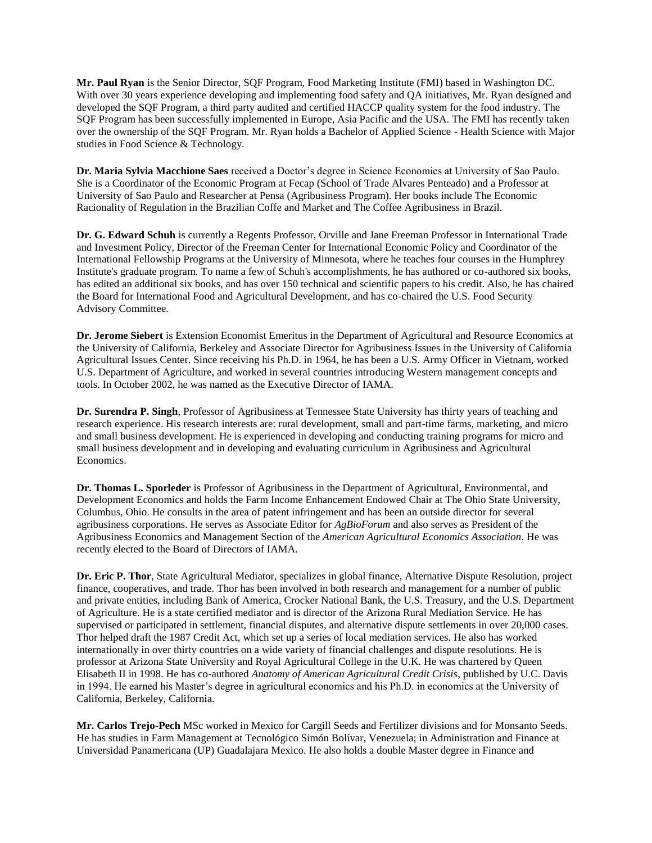**Mr. Paul Ryan** is the Senior Director, SQF Program, Food Marketing Institute (FMI) based in Washington DC. With over 30 years experience developing and implementing food safety and OA initiatives, Mr. Ryan designed and developed the SQF Program, a third party audited and certified HACCP quality system for the food industry. The SQF Program has been successfully implemented in Europe, Asia Pacific and the USA. The FMI has recently taken over the ownership of the SQF Program. Mr. Ryan holds a Bachelor of Applied Science - Health Science with Major studies in Food Science & Technology.

**Dr. Maria Sylvia Macchione Saes** received a Doctor's degree in Science Economics at University of Sao Paulo. She is a Coordinator of the Economic Program at Fecap (School of Trade Alvares Penteado) and a Professor at University of Sao Paulo and Researcher at Pensa (Agribusiness Program). Her books include The Economic Racionality of Regulation in the Brazilian Coffe and Market and The Coffee Agribusiness in Brazil.

**Dr. G. Edward Schuh** is currently a Regents Professor, Orville and Jane Freeman Professor in International Trade and Investment Policy, Director of the Freeman Center for International Economic Policy and Coordinator of the International Fellowship Programs at the University of Minnesota, where he teaches four courses in the Humphrey Institute's graduate program. To name a few of Schuh's accomplishments, he has authored or co-authored six books, has edited an additional six books, and has over 150 technical and scientific papers to his credit. Also, he has chaired the Board for International Food and Agricultural Development, and has co-chaired the U.S. Food Security Advisory Committee.

**Dr. Jerome Siebert** is Extension Economist Emeritus in the Department of Agricultural and Resource Economics at the University of California, Berkeley and Associate Director for Agribusiness Issues in the University of California Agricultural Issues Center. Since receiving his Ph.D. in 1964, he has been a U.S. Army Officer in Vietnam, worked U.S. Department of Agriculture, and worked in several countries introducing Western management concepts and tools. In October 2002, he was named as the Executive Director of IAMA.

**Dr. Surendra P. Singh**, Professor of Agribusiness at Tennessee State University has thirty years of teaching and research experience. His research interests are: rural development, small and part-time farms, marketing, and micro and small business development. He is experienced in developing and conducting training programs for micro and small business development and in developing and evaluating curriculum in Agribusiness and Agricultural Economics.

**Dr. Thomas L. Sporleder** is Professor of Agribusiness in the Department of Agricultural, Environmental, and Development Economics and holds the Farm Income Enhancement Endowed Chair at The Ohio State University, Columbus, Ohio. He consults in the area of patent infringement and has been an outside director for several agribusiness corporations. He serves as Associate Editor for *AgBioForum* and also serves as President of the Agribusiness Economics and Management Section of the *American Agricultural Economics Association*. He was recently elected to the Board of Directors of IAMA.

**Dr. Eric P. Thor**, State Agricultural Mediator, specializes in global finance, Alternative Dispute Resolution, project finance, cooperatives, and trade. Thor has been involved in both research and management for a number of public and private entities, including Bank of America, Crocker National Bank, the U.S. Treasury, and the U.S. Department of Agriculture. He is a state certified mediator and is director of the Arizona Rural Mediation Service. He has supervised or participated in settlement, financial disputes, and alternative dispute settlements in over 20,000 cases. Thor helped draft the 1987 Credit Act, which set up a series of local mediation services. He also has worked internationally in over thirty countries on a wide variety of financial challenges and dispute resolutions. He is professor at Arizona State University and Royal Agricultural College in the U.K. He was chartered by Queen Elisabeth II in 1998. He has co-authored *Anatomy of American Agricultural Credit Crisis*, published by U.C. Davis in 1994. He earned his Master's degree in agricultural economics and his Ph.D. in economics at the University of California, Berkeley, California.

**Mr. Carlos Trejo-Pech** MSc worked in Mexico for Cargill Seeds and Fertilizer divisions and for Monsanto Seeds. He has studies in Farm Management at Tecnológico Simón Bolívar, Venezuela; in Administration and Finance at Universidad Panamericana (UP) Guadalajara Mexico. He also holds a double Master degree in Finance and